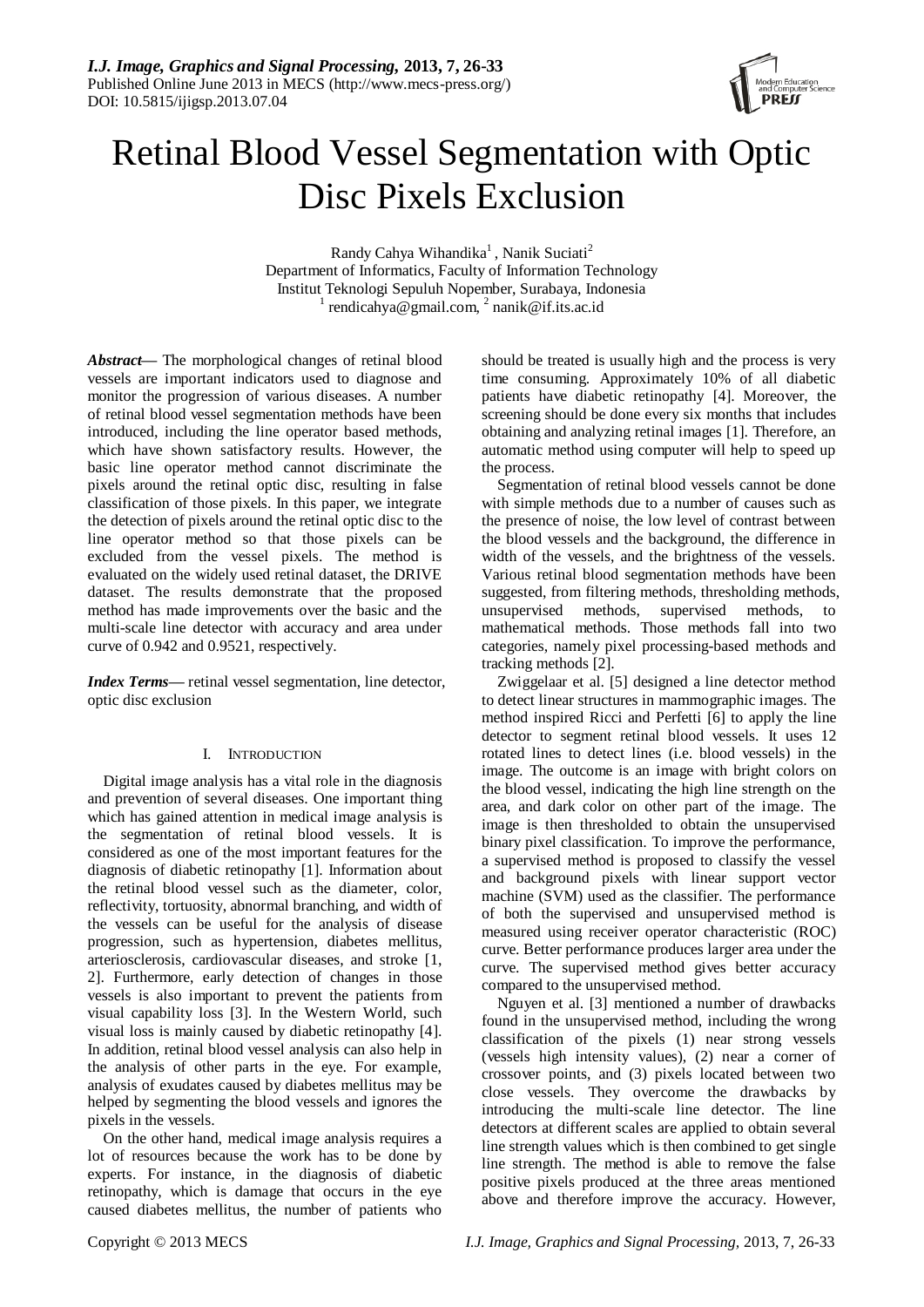

# Retinal Blood Vessel Segmentation with Optic Disc Pixels Exclusion

Randy Cahya Wihandika<sup>1</sup>, Nanik Suciati<sup>2</sup> Department of Informatics, Faculty of Information Technology Institut Teknologi Sepuluh Nopember, Surabaya, Indonesia  $\frac{1}{1}$  rendicahya@gmail.com,  $\frac{2}{1}$  nanik@if.its.ac.id

*Abstract***—** The morphological changes of retinal blood vessels are important indicators used to diagnose and monitor the progression of various diseases. A number of retinal blood vessel segmentation methods have been introduced, including the line operator based methods, which have shown satisfactory results. However, the basic line operator method cannot discriminate the pixels around the retinal optic disc, resulting in false classification of those pixels. In this paper, we integrate the detection of pixels around the retinal optic disc to the line operator method so that those pixels can be excluded from the vessel pixels. The method is evaluated on the widely used retinal dataset, the DRIVE dataset. The results demonstrate that the proposed method has made improvements over the basic and the multi-scale line detector with accuracy and area under curve of 0.942 and 0.9521, respectively.

*Index Terms—* retinal vessel segmentation, line detector, optic disc exclusion

## I. INTRODUCTION

Digital image analysis has a vital role in the diagnosis and prevention of several diseases. One important thing which has gained attention in medical image analysis is the segmentation of retinal blood vessels. It is considered as one of the most important features for the diagnosis of diabetic retinopathy [1]. Information about the retinal blood vessel such as the diameter, color, reflectivity, tortuosity, abnormal branching, and width of the vessels can be useful for the analysis of disease progression, such as hypertension, diabetes mellitus, arteriosclerosis, cardiovascular diseases, and stroke [1, 2]. Furthermore, early detection of changes in those vessels is also important to prevent the patients from visual capability loss [3]. In the Western World, such visual loss is mainly caused by diabetic retinopathy [4]. In addition, retinal blood vessel analysis can also help in the analysis of other parts in the eye. For example, analysis of exudates caused by diabetes mellitus may be helped by segmenting the blood vessels and ignores the pixels in the vessels.

On the other hand, medical image analysis requires a lot of resources because the work has to be done by experts. For instance, in the diagnosis of diabetic retinopathy, which is damage that occurs in the eye caused diabetes mellitus, the number of patients who

should be treated is usually high and the process is very time consuming. Approximately 10% of all diabetic patients have diabetic retinopathy [4]. Moreover, the screening should be done every six months that includes obtaining and analyzing retinal images [1]. Therefore, an automatic method using computer will help to speed up the process.

Segmentation of retinal blood vessels cannot be done with simple methods due to a number of causes such as the presence of noise, the low level of contrast between the blood vessels and the background, the difference in width of the vessels, and the brightness of the vessels. Various retinal blood segmentation methods have been suggested, from filtering methods, thresholding methods, unsupervised methods, supervised methods, to mathematical methods. Those methods fall into two categories, namely pixel processing-based methods and tracking methods [2].

Zwiggelaar et al. [5] designed a line detector method to detect linear structures in mammographic images. The method inspired Ricci and Perfetti [6] to apply the line detector to segment retinal blood vessels. It uses 12 rotated lines to detect lines (i.e. blood vessels) in the image. The outcome is an image with bright colors on the blood vessel, indicating the high line strength on the area, and dark color on other part of the image. The image is then thresholded to obtain the unsupervised binary pixel classification. To improve the performance, a supervised method is proposed to classify the vessel and background pixels with linear support vector machine (SVM) used as the classifier. The performance of both the supervised and unsupervised method is measured using receiver operator characteristic (ROC) curve. Better performance produces larger area under the curve. The supervised method gives better accuracy compared to the unsupervised method.

Nguyen et al. [3] mentioned a number of drawbacks found in the unsupervised method, including the wrong classification of the pixels (1) near strong vessels (vessels high intensity values), (2) near a corner of crossover points, and (3) pixels located between two close vessels. They overcome the drawbacks by introducing the multi-scale line detector. The line detectors at different scales are applied to obtain several line strength values which is then combined to get single line strength. The method is able to remove the false positive pixels produced at the three areas mentioned above and therefore improve the accuracy. However,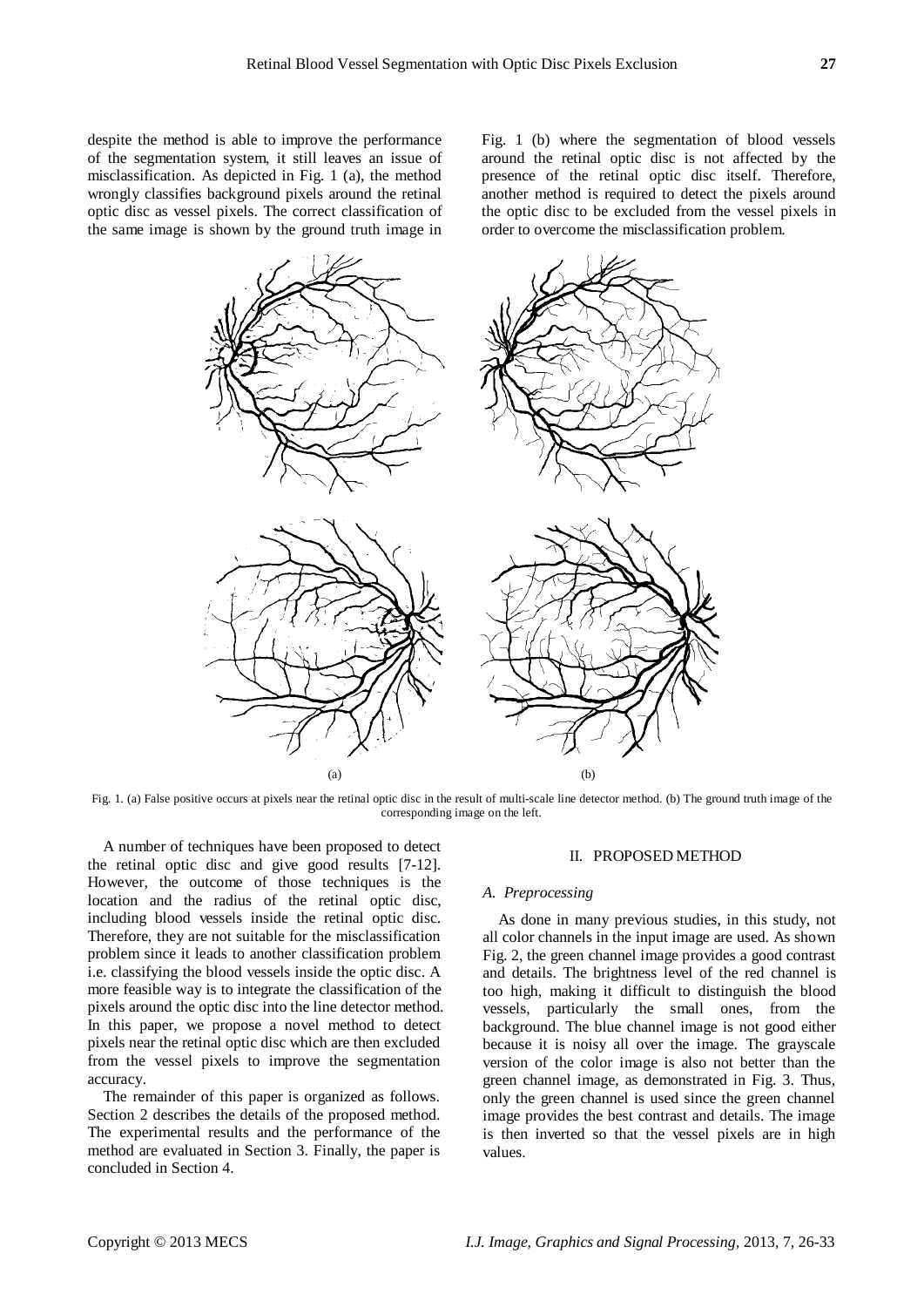despite the method is able to improve the performance of the segmentation system, it still leaves an issue of misclassification. As depicted in Fig. 1 (a), the method wrongly classifies background pixels around the retinal optic disc as vessel pixels. The correct classification of the same image is shown by the ground truth image in

Fig. 1 (b) where the segmentation of blood vessels around the retinal optic disc is not affected by the presence of the retinal optic disc itself. Therefore, another method is required to detect the pixels around the optic disc to be excluded from the vessel pixels in order to overcome the misclassification problem.



Fig. 1. (a) False positive occurs at pixels near the retinal optic disc in the result of multi-scale line detector method. (b) The ground truth image of the corresponding image on the left.

A number of techniques have been proposed to detect the retinal optic disc and give good results [7-12]. However, the outcome of those techniques is the location and the radius of the retinal optic disc, including blood vessels inside the retinal optic disc. Therefore, they are not suitable for the misclassification problem since it leads to another classification problem i.e. classifying the blood vessels inside the optic disc. A more feasible way is to integrate the classification of the pixels around the optic disc into the line detector method. In this paper, we propose a novel method to detect pixels near the retinal optic disc which are then excluded from the vessel pixels to improve the segmentation accuracy.

The remainder of this paper is organized as follows. Section 2 describes the details of the proposed method. The experimental results and the performance of the method are evaluated in Section 3. Finally, the paper is concluded in Section 4.

### II. PROPOSED METHOD

#### *A. Preprocessing*

As done in many previous studies, in this study, not all color channels in the input image are used. As shown Fig. 2, the green channel image provides a good contrast and details. The brightness level of the red channel is too high, making it difficult to distinguish the blood vessels, particularly the small ones, from the background. The blue channel image is not good either because it is noisy all over the image. The grayscale version of the color image is also not better than the green channel image, as demonstrated in Fig. 3. Thus, only the green channel is used since the green channel image provides the best contrast and details. The image is then inverted so that the vessel pixels are in high values.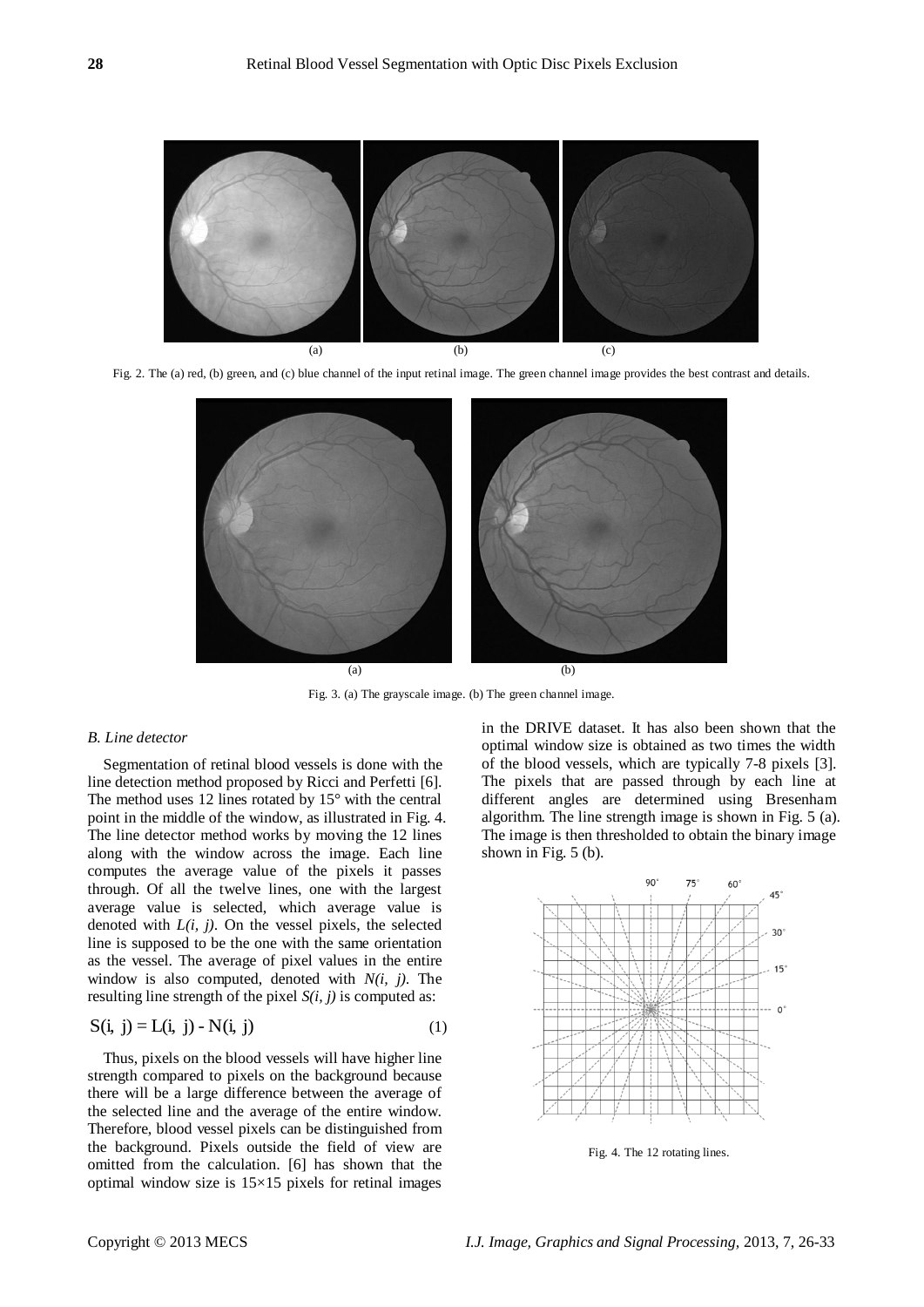

Fig. 2. The (a) red, (b) green, and (c) blue channel of the input retinal image. The green channel image provides the best contrast and details.



Fig. 3. (a) The grayscale image. (b) The green channel image.

## *B. Line detector*

Segmentation of retinal blood vessels is done with the line detection method proposed by Ricci and Perfetti [6]. The method uses 12 lines rotated by 15° with the central point in the middle of the window, as illustrated in Fig. 4. The line detector method works by moving the 12 lines along with the window across the image. Each line computes the average value of the pixels it passes through. Of all the twelve lines, one with the largest average value is selected, which average value is denoted with *L(i, j)*. On the vessel pixels, the selected line is supposed to be the one with the same orientation as the vessel. The average of pixel values in the entire window is also computed, denoted with *N(i, j)*. The resulting line strength of the pixel *S(i, j)* is computed as:

$$
S(i, j) = L(i, j) - N(i, j)
$$
 (1)

Thus, pixels on the blood vessels will have higher line strength compared to pixels on the background because there will be a large difference between the average of the selected line and the average of the entire window. Therefore, blood vessel pixels can be distinguished from the background. Pixels outside the field of view are omitted from the calculation. [6] has shown that the optimal window size is  $15\times15$  pixels for retinal images

in the DRIVE dataset. It has also been shown that the optimal window size is obtained as two times the width of the blood vessels, which are typically 7-8 pixels [3]. The pixels that are passed through by each line at different angles are determined using Bresenham algorithm. The line strength image is shown in Fig. 5 (a). The image is then thresholded to obtain the binary image shown in Fig. 5 (b).



Fig. 4. The 12 rotating lines.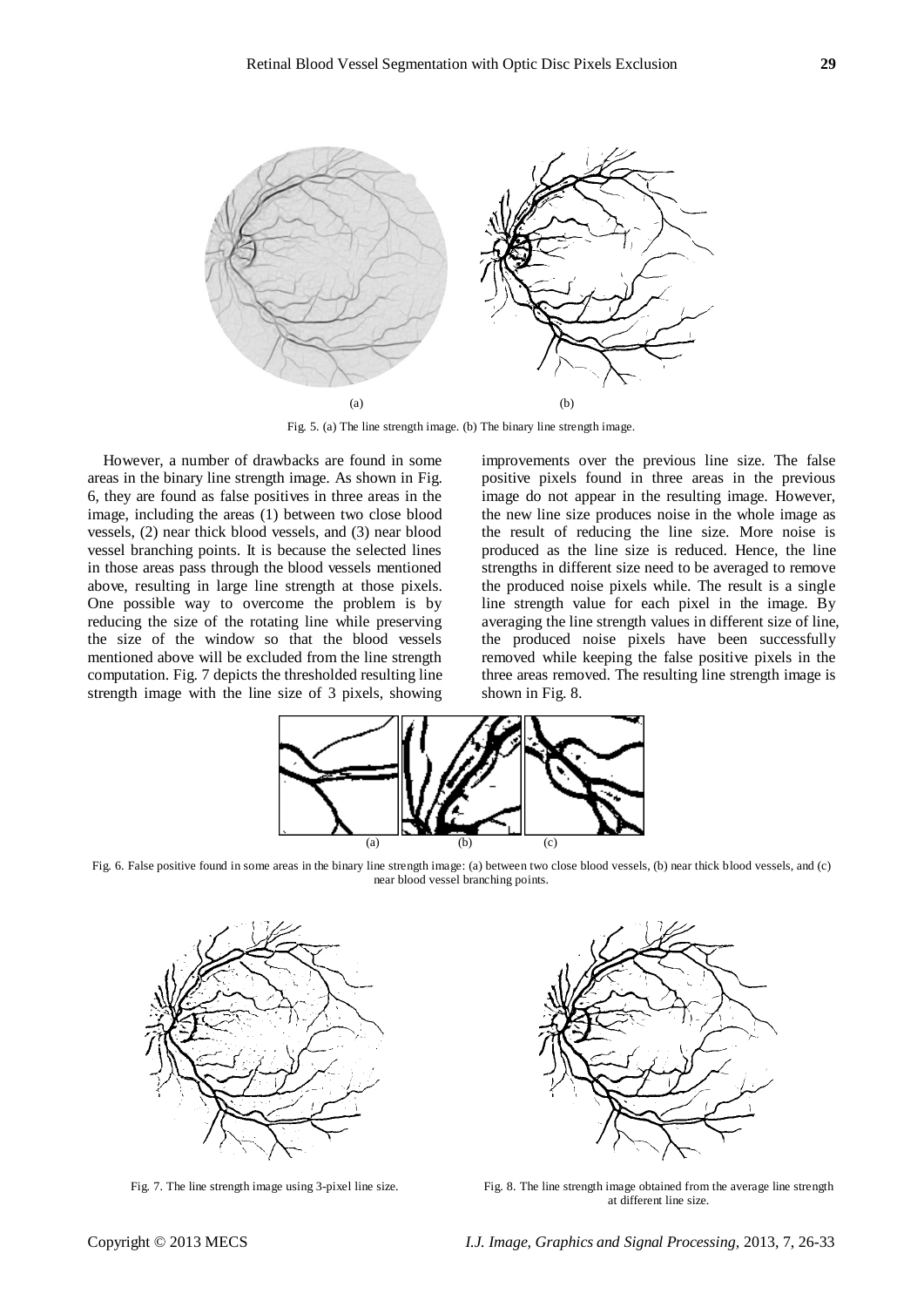

Fig. 5. (a) The line strength image. (b) The binary line strength image.

However, a number of drawbacks are found in some areas in the binary line strength image. As shown in Fig. 6, they are found as false positives in three areas in the image, including the areas (1) between two close blood vessels, (2) near thick blood vessels, and (3) near blood vessel branching points. It is because the selected lines in those areas pass through the blood vessels mentioned above, resulting in large line strength at those pixels. One possible way to overcome the problem is by reducing the size of the rotating line while preserving the size of the window so that the blood vessels mentioned above will be excluded from the line strength computation. Fig. 7 depicts the thresholded resulting line strength image with the line size of 3 pixels, showing

improvements over the previous line size. The false positive pixels found in three areas in the previous image do not appear in the resulting image. However, the new line size produces noise in the whole image as the result of reducing the line size. More noise is produced as the line size is reduced. Hence, the line strengths in different size need to be averaged to remove the produced noise pixels while. The result is a single line strength value for each pixel in the image. By averaging the line strength values in different size of line, the produced noise pixels have been successfully removed while keeping the false positive pixels in the three areas removed. The resulting line strength image is shown in Fig. 8.



Fig. 6. False positive found in some areas in the binary line strength image: (a) between two close blood vessels, (b) near thick blood vessels, and (c) near blood vessel branching points.





Fig. 7. The line strength image using 3-pixel line size. Fig. 8. The line strength image obtained from the average line strength at different line size.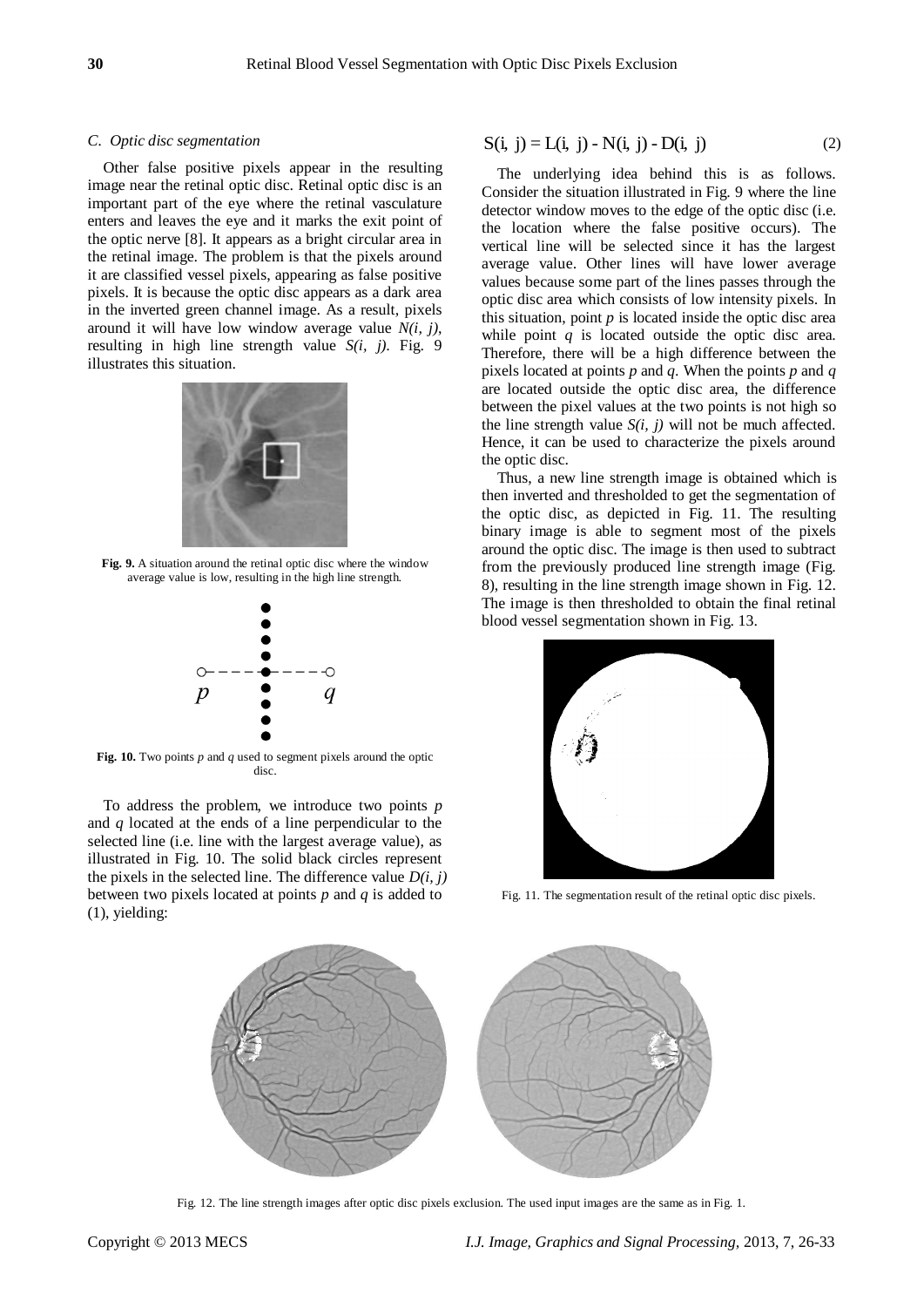## *C. Optic disc segmentation*

Other false positive pixels appear in the resulting image near the retinal optic disc. Retinal optic disc is an important part of the eye where the retinal vasculature enters and leaves the eye and it marks the exit point of the optic nerve [8]. It appears as a bright circular area in the retinal image. The problem is that the pixels around it are classified vessel pixels, appearing as false positive pixels. It is because the optic disc appears as a dark area in the inverted green channel image. As a result, pixels around it will have low window average value *N(i, j)*, resulting in high line strength value *S(i, j)*. Fig. 9 illustrates this situation.



**Fig. 9.** A situation around the retinal optic disc where the window average value is low, resulting in the high line strength.



**Fig. 10.** Two points *p* and *q* used to segment pixels around the optic disc.

To address the problem, we introduce two points *p* and *q* located at the ends of a line perpendicular to the selected line (i.e. line with the largest average value), as illustrated in Fig. 10. The solid black circles represent the pixels in the selected line. The difference value  $D(i, j)$ between two pixels located at points *p* and *q* is added to (1), yielding:

$$
S(i, j) = L(i, j) - N(i, j) - D(i, j)
$$
 (2)

The underlying idea behind this is as follows. Consider the situation illustrated in Fig. 9 where the line detector window moves to the edge of the optic disc (i.e. the location where the false positive occurs). The vertical line will be selected since it has the largest average value. Other lines will have lower average values because some part of the lines passes through the optic disc area which consists of low intensity pixels. In this situation, point  $p$  is located inside the optic disc area while point *q* is located outside the optic disc area. Therefore, there will be a high difference between the pixels located at points *p* and *q*. When the points *p* and *q* are located outside the optic disc area, the difference between the pixel values at the two points is not high so the line strength value  $S(i, j)$  will not be much affected. Hence, it can be used to characterize the pixels around the optic disc.

Thus, a new line strength image is obtained which is then inverted and thresholded to get the segmentation of the optic disc, as depicted in Fig. 11. The resulting binary image is able to segment most of the pixels around the optic disc. The image is then used to subtract from the previously produced line strength image (Fig. 8), resulting in the line strength image shown in Fig. 12. The image is then thresholded to obtain the final retinal blood vessel segmentation shown in Fig. 13.



Fig. 11. The segmentation result of the retinal optic disc pixels.



Fig. 12. The line strength images after optic disc pixels exclusion. The used input images are the same as in Fig. 1.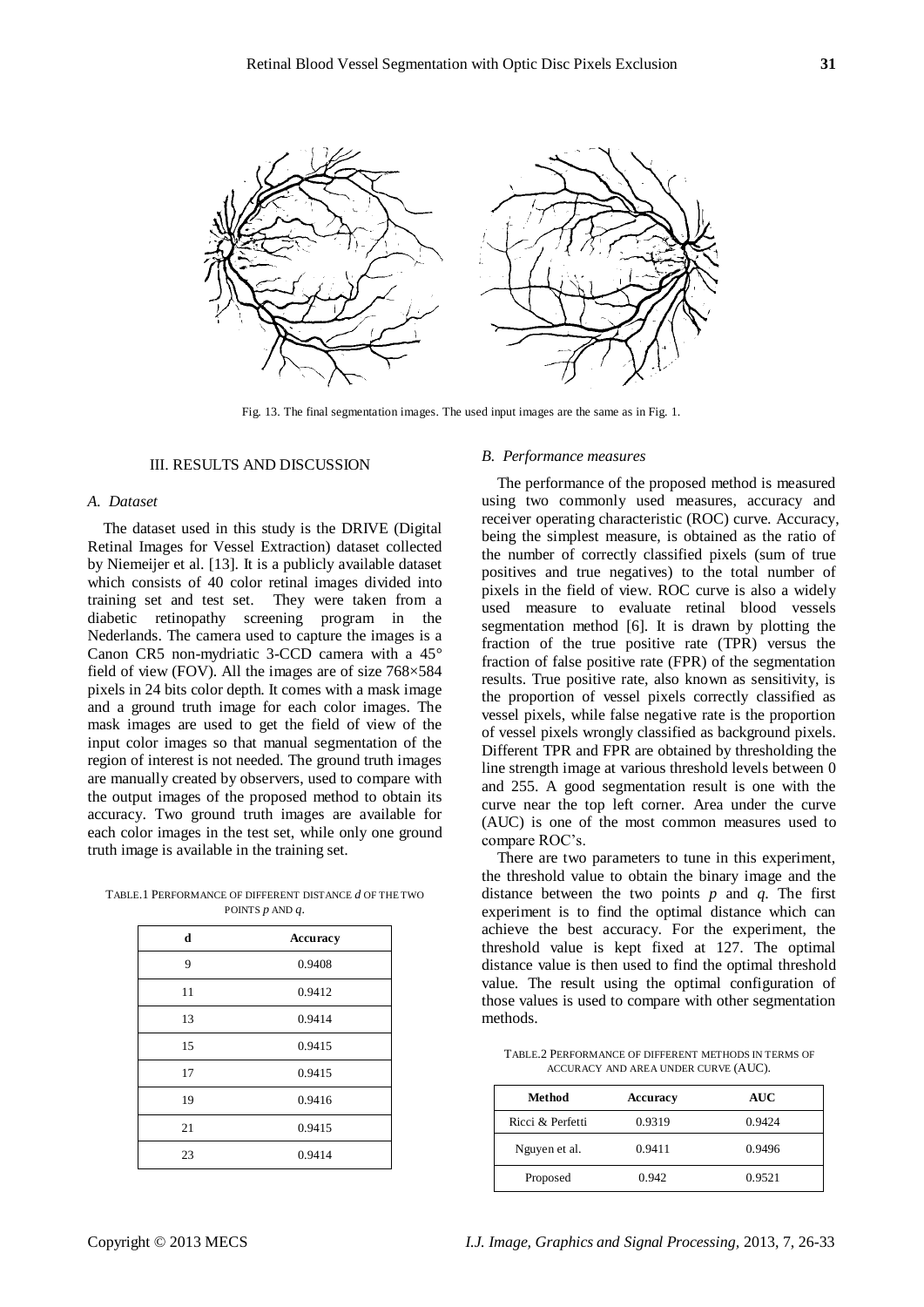

Fig. 13. The final segmentation images. The used input images are the same as in Fig. 1.

#### III. RESULTS AND DISCUSSION

## *A. Dataset*

The dataset used in this study is the DRIVE (Digital Retinal Images for Vessel Extraction) dataset collected by Niemeijer et al. [13]. It is a publicly available dataset which consists of 40 color retinal images divided into training set and test set. They were taken from a diabetic retinopathy screening program in the Nederlands. The camera used to capture the images is a Canon CR5 non-mydriatic 3-CCD camera with a 45° field of view (FOV). All the images are of size  $768\times584$ pixels in 24 bits color depth. It comes with a mask image and a ground truth image for each color images. The mask images are used to get the field of view of the input color images so that manual segmentation of the region of interest is not needed. The ground truth images are manually created by observers, used to compare with the output images of the proposed method to obtain its accuracy. Two ground truth images are available for each color images in the test set, while only one ground truth image is available in the training set.

TABLE.1 PERFORMANCE OF DIFFERENT DISTANCE *d* OF THE TWO POINTS *p* AND *q*.

| d  | Accuracy |  |
|----|----------|--|
| 9  | 0.9408   |  |
| 11 | 0.9412   |  |
| 13 | 0.9414   |  |
| 15 | 0.9415   |  |
| 17 | 0.9415   |  |
| 19 | 0.9416   |  |
| 21 | 0.9415   |  |
| 23 | 0.9414   |  |

#### *B. Performance measures*

The performance of the proposed method is measured using two commonly used measures, accuracy and receiver operating characteristic (ROC) curve. Accuracy, being the simplest measure, is obtained as the ratio of the number of correctly classified pixels (sum of true positives and true negatives) to the total number of pixels in the field of view. ROC curve is also a widely used measure to evaluate retinal blood vessels segmentation method [6]. It is drawn by plotting the fraction of the true positive rate (TPR) versus the fraction of false positive rate (FPR) of the segmentation results. True positive rate, also known as sensitivity, is the proportion of vessel pixels correctly classified as vessel pixels, while false negative rate is the proportion of vessel pixels wrongly classified as background pixels. Different TPR and FPR are obtained by thresholding the line strength image at various threshold levels between 0 and 255. A good segmentation result is one with the curve near the top left corner. Area under the curve (AUC) is one of the most common measures used to compare ROC's.

There are two parameters to tune in this experiment, the threshold value to obtain the binary image and the distance between the two points  $p$  and  $q$ . The first experiment is to find the optimal distance which can achieve the best accuracy. For the experiment, the threshold value is kept fixed at 127. The optimal distance value is then used to find the optimal threshold value. The result using the optimal configuration of those values is used to compare with other segmentation methods.

TABLE.2 PERFORMANCE OF DIFFERENT METHODS IN TERMS OF ACCURACY AND AREA UNDER CURVE (AUC).

| Method           | Accuracy | AUC    |
|------------------|----------|--------|
| Ricci & Perfetti | 0.9319   | 0.9424 |
| Nguyen et al.    | 0.9411   | 0.9496 |
| Proposed         | 0.942    | 0.9521 |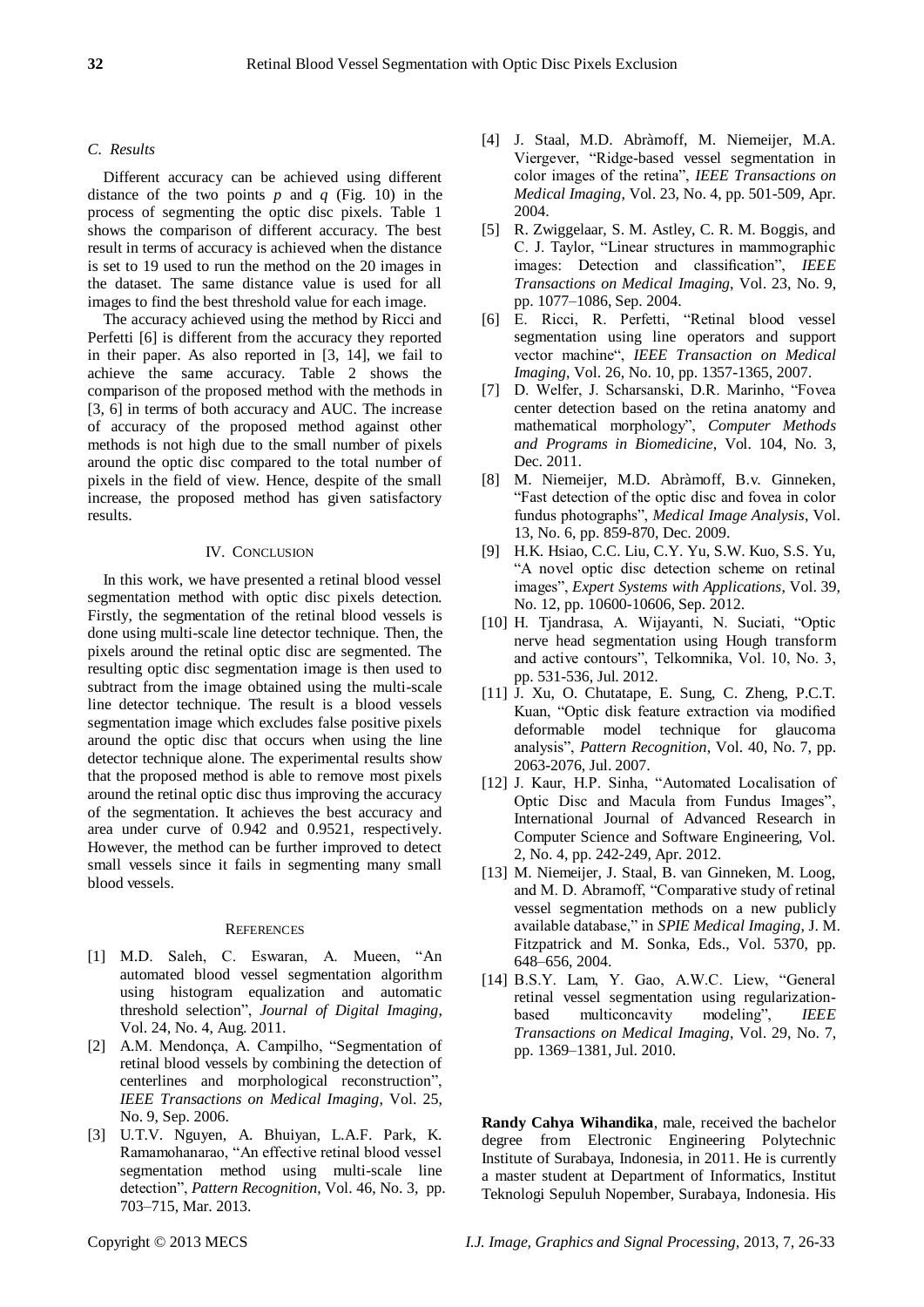# *C. Results*

Different accuracy can be achieved using different distance of the two points  $p$  and  $q$  (Fig. 10) in the process of segmenting the optic disc pixels. Table 1 shows the comparison of different accuracy. The best result in terms of accuracy is achieved when the distance is set to 19 used to run the method on the 20 images in the dataset. The same distance value is used for all images to find the best threshold value for each image.

The accuracy achieved using the method by Ricci and Perfetti [6] is different from the accuracy they reported in their paper. As also reported in [3, 14], we fail to achieve the same accuracy. Table 2 shows the comparison of the proposed method with the methods in [3, 6] in terms of both accuracy and AUC. The increase of accuracy of the proposed method against other methods is not high due to the small number of pixels around the optic disc compared to the total number of pixels in the field of view. Hence, despite of the small increase, the proposed method has given satisfactory results.

## IV. CONCLUSION

In this work, we have presented a retinal blood vessel segmentation method with optic disc pixels detection. Firstly, the segmentation of the retinal blood vessels is done using multi-scale line detector technique. Then, the pixels around the retinal optic disc are segmented. The resulting optic disc segmentation image is then used to subtract from the image obtained using the multi-scale line detector technique. The result is a blood vessels segmentation image which excludes false positive pixels around the optic disc that occurs when using the line detector technique alone. The experimental results show that the proposed method is able to remove most pixels around the retinal optic disc thus improving the accuracy of the segmentation. It achieves the best accuracy and area under curve of 0.942 and 0.9521, respectively. However, the method can be further improved to detect small vessels since it fails in segmenting many small blood vessels.

#### **REFERENCES**

- [1] M.D. Saleh, C. Eswaran, A. Mueen, "An automated blood vessel segmentation algorithm using histogram equalization and automatic threshold selection", *Journal of Digital Imaging*, Vol. 24, No. 4, Aug. 2011.
- [2] A.M. Mendonça, A. Campilho, "Segmentation of retinal blood vessels by combining the detection of centerlines and morphological reconstruction", *IEEE Transactions on Medical Imaging*, Vol. 25, No. 9, Sep. 2006.
- [3] U.T.V. Nguyen, A. Bhuiyan, L.A.F. Park, K. Ramamohanarao, "An effective retinal blood vessel segmentation method using multi-scale line detection", *Pattern Recognition*, Vol. 46, No. 3, pp. 703–715, Mar. 2013.
- [4] J. Staal, M.D. Abràmoff, M. Niemeijer, M.A. Viergever, "Ridge-based vessel segmentation in color images of the retina", *IEEE Transactions on Medical Imaging*, Vol. 23, No. 4, pp. 501-509, Apr. 2004.
- [5] R. Zwiggelaar, S. M. Astley, C. R. M. Boggis, and C. J. Taylor, "Linear structures in mammographic images: Detection and classification", *IEEE Transactions on Medical Imaging*, Vol. 23, No. 9, pp. 1077–1086, Sep. 2004.
- [6] E. Ricci, R. Perfetti, "Retinal blood vessel segmentation using line operators and support vector machine", *IEEE Transaction on Medical Imaging*, Vol. 26, No. 10, pp. 1357-1365, 2007.
- [7] D. Welfer, J. Scharsanski, D.R. Marinho, "Fovea center detection based on the retina anatomy and mathematical morphology", *Computer Methods and Programs in Biomedicine*, Vol. 104, No. 3, Dec. 2011.
- [8] M. Niemeijer, M.D. Abràmoff, B.v. Ginneken, "Fast detection of the optic disc and fovea in color fundus photographs", *Medical Image Analysis*, Vol. 13, No. 6, pp. 859-870, Dec. 2009.
- [9] H.K. Hsiao, C.C. Liu, C.Y. Yu, S.W. Kuo, S.S. Yu, "A novel optic disc detection scheme on retinal images", *Expert Systems with Applications*, Vol. 39, No. 12, pp. 10600-10606, Sep. 2012.
- [10] H. Tjandrasa, A. Wijayanti, N. Suciati, "Optic nerve head segmentation using Hough transform and active contours", Telkomnika, Vol. 10, No. 3, pp. 531-536, Jul. 2012.
- [11] J. Xu, O. Chutatape, E. Sung, C. Zheng, P.C.T. Kuan, "Optic disk feature extraction via modified deformable model technique for glaucoma analysis", *Pattern Recognition*, Vol. 40, No. 7, pp. 2063-2076, Jul. 2007.
- [12] J. Kaur, H.P. Sinha, "Automated Localisation of Optic Disc and Macula from Fundus Images", International Journal of Advanced Research in Computer Science and Software Engineering, Vol. 2, No. 4, pp. 242-249, Apr. 2012.
- [13] M. Niemeijer, J. Staal, B. van Ginneken, M. Loog, and M. D. Abramoff, "Comparative study of retinal vessel segmentation methods on a new publicly available database," in *SPIE Medical Imaging*, J. M. Fitzpatrick and M. Sonka, Eds., Vol. 5370, pp. 648–656, 2004.
- [14] B.S.Y. Lam, Y. Gao, A.W.C. Liew, "General retinal vessel segmentation using regularizationbased multiconcavity modeling", *IEEE Transactions on Medical Imaging*, Vol. 29, No. 7, pp. 1369–1381, Jul. 2010.

**Randy Cahya Wihandika**, male, received the bachelor degree from Electronic Engineering Polytechnic Institute of Surabaya, Indonesia, in 2011. He is currently a master student at Department of Informatics, Institut Teknologi Sepuluh Nopember, Surabaya, Indonesia. His